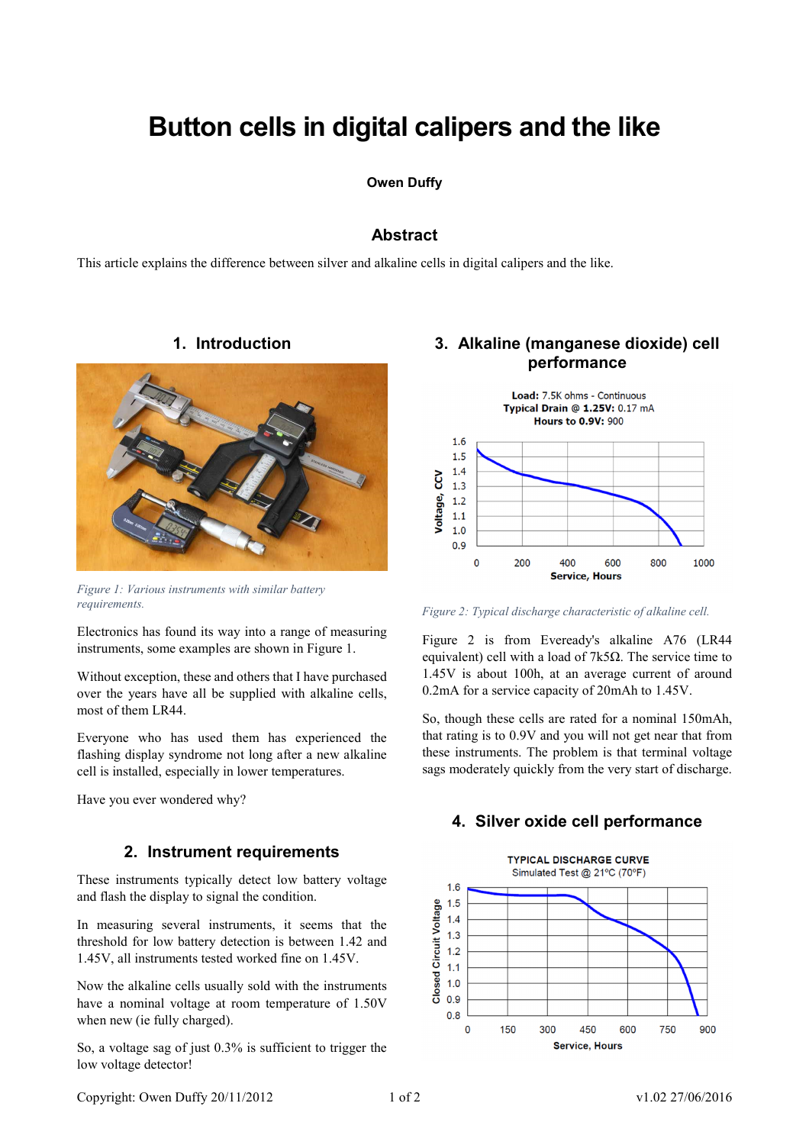# **Button cells in digital calipers and the like**

## **Owen Duffy**

## **Abstract**

This article explains the difference between silver and alkaline cells in digital calipers and the like.



*Figure 1: Various instruments with similar battery requirements.* 

Electronics has found its way into a range of measuring instruments, some examples are shown in Figure 1.

Without exception, these and others that I have purchased over the years have all be supplied with alkaline cells, most of them LR44.

Everyone who has used them has experienced the flashing display syndrome not long after a new alkaline cell is installed, especially in lower temperatures.

Have you ever wondered why?

## **2. Instrument requirements**

These instruments typically detect low battery voltage and flash the display to signal the condition.

In measuring several instruments, it seems that the threshold for low battery detection is between 1.42 and 1.45V, all instruments tested worked fine on 1.45V.

Now the alkaline cells usually sold with the instruments have a nominal voltage at room temperature of 1.50V when new (ie fully charged).

So, a voltage sag of just 0.3% is sufficient to trigger the low voltage detector!

# **3. Alkaline (manganese dioxide) cell performance**



*Figure 2: Typical discharge characteristic of alkaline cell.* 

Figure 2 is from Eveready's alkaline A76 (LR44 equivalent) cell with a load of 7k5Ω. The service time to 1.45V is about 100h, at an average current of around 0.2mA for a service capacity of 20mAh to 1.45V.

So, though these cells are rated for a nominal 150mAh, that rating is to 0.9V and you will not get near that from these instruments. The problem is that terminal voltage sags moderately quickly from the very start of discharge.

## **4. Silver oxide cell performance**